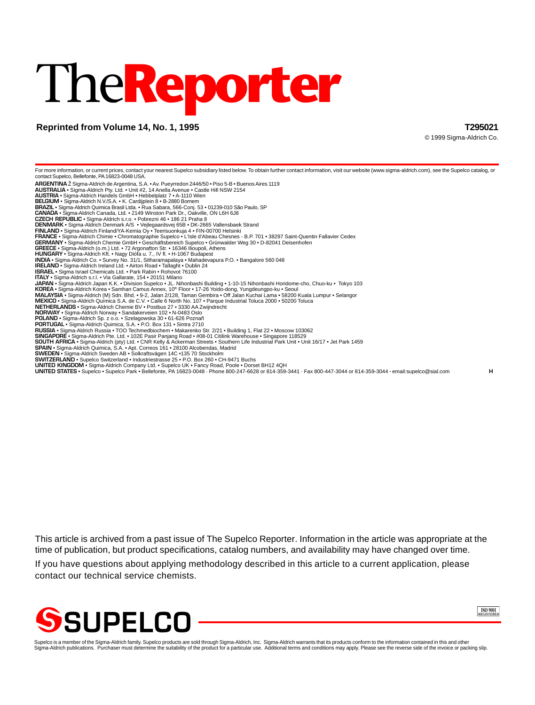# The**Reporter**

# **Reprinted from Volume 14, No. 1, 1995 T295021**

© 1999 Sigma-Aldrich Co.

For more information, or current prices, contact your nearest Supelco subsidiary listed below. To obtain further contact information, visit our website (www.sigma-aldrich.com), see the Supelco catalog, or contact Supelco, Bellefonte, PA 16823-0048 USA. **ARGENTINA** Ž Sigma-Aldrich de Argentina, S.A. • Av. Pueyrredon 2446/50 • Piso 5-B • Buenos Aires 1119 **AUSTRALIA** • Sigma-Aldrich Pty. Ltd. • Unit #2, 14 Anella Avenue • Castle Hill NSW 2154 **AUSTRIA** • Sigma-Aldrich Handels GmbH • Hebbelplatz 7 • A-1110 Wien **BELGIUM** • Sigma-Aldrich N.V./S.A. • K. Cardijplein 8 • B-2880 Bornem **BRAZIL** • Sigma-Aldrich Quimica Brasil Ltda. • Rua Sabara, 566-Conj. 53 • 01239-010 São Paulo, SP **CANADA** • Sigma-Aldrich Canada, Ltd. • 2149 Winston Park Dr., Oakville, ON L6H 6J8 **CZECH REPUBLIC** • Sigma-Aldrich s.r.o. • Pobrezni 46 • 186 21 Praha 8 **DENMARK** • Sigma-Aldrich Denmark A/S • Vejlegaardsvej 65B • DK-2665 Vallensbaek Strand **FINLAND •** Sigma-Aldrich Finland/YA-Kemia Oy • Teerisuonkuja 4 • FIN-00700 Helsinki<br>**FRANCE •** Sigma-Aldrich Chimie • Chromatographie Supelco • L'Isle d'Abeau Chesnes - B.P. 701 • 38297 Saint-Quentin Fallavier Cedex<br>**GER GREECE** • Sigma-Aldrich (o.m.) Ltd. • 72 Argonafton Str. • 16346 Ilioupoli, Athens **HUNGARY** • Sigma-Aldrich Kft. • Nagy Diófa u. 7., IV fl. • H-1067 Budapest **INDIA •** Sigma-Aldrich Co. • Survey No. 31/1, Sitharamapalaya • Mahadevapura P.O. • Bangalore 560 048<br>I**RELAND •** Sigma-Aldrich Ireland Ltd. • Airton Road • Tallaght • Dublin 24<br>**ISRAEL •** Sigma Israel Chemicals Ltd. • P **ITALY** • Sigma-Aldrich s.r.l. • Via Gallarate, 154 • 20151 Milano **JAPAN •** Sigma-Aldrich Japan K.K. • Division Supelco • JL. Nihonbashi Building • 1-10-15 Nihonbashi Horidome-cho, Chuo-ku • Tokyo 103<br>**KOREA •** Sigma-Aldrich Korea • Samhan Camus Annex, 10‴ Floor • 17-26 Yoido-dong, Yung **POLAND** • Sigma-Aldrich Sp. z o.o. • Szelagowska 30 • 61-626 Poznañ **PORTUGAL** • Sigma-Aldrich Quimica, S.A. • P.O. Box 131 • Sintra 2710 **RUSSIA •** Sigma-Aldrich Russia • TOO Techmedbiochem • Makarenko Str. 2/21 • Building 1, Flat 22 • Moscow 103062<br>S**INGAPORE •** Sigma-Aldrich Pte. Ltd. • 102E Pasir Panjang Road • #08-01 Citilink Warehouse • Singapore 1185 **SWEDEN •** Sigma-Aldrich Sweden AB • Solkraftsvägen 14C •135 70 Stockholm<br>**SWITZERLAND •** Supelco Switzerland • Industriestrasse 25 • P.O. Box 260 • CH-9471 Buchs **UNITED KINGDOM •** Sigma-Aldrich Company Ltd. • Supelco UK • Fancy Road, Poole • Dorset BH12 4QH<br>**UNITED STATES •** Supelco • Supelco Park • Bellefonte, PA 16823-0048 · Phone 800-247-6628 or 814-359-3441 · Fax 800-447-3044

This article is archived from a past issue of The Supelco Reporter. Information in the article was appropriate at the time of publication, but product specifications, catalog numbers, and availability may have changed over time.

If you have questions about applying methodology described in this article to a current application, please contact our technical service chemists.





Supelco is a member of the Sigma-Aldrich family. Supelco products are sold through Sigma-Aldrich, Inc. Sigma-Aldrich warrants that its products conform to the information contained in this and other<br>Sigma-Aldrich publicati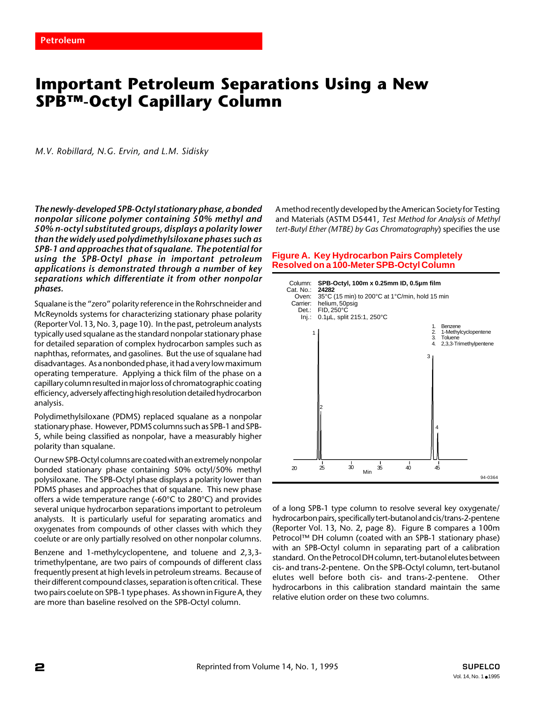# **Important Petroleum Separations Using a New SPB™-Octyl Capillary Column**

*M.V. Robillard, N.G. Ervin, and L.M. Sidisky*

*The newly-developed SPB-Octyl stationary phase, a bonded nonpolar silicone polymer containing 50% methyl and 50% n-octyl substituted groups, displays a polarity lower than the widely used polydimethylsiloxane phases such as SPB-1 and approaches that of squalane. The potential for using the SPB-Octyl phase in important petroleum applications is demonstrated through a number of key separations which differentiate it from other nonpolar phases.*

Squalane is the "zero" polarity reference in the Rohrschneider and McReynolds systems for characterizing stationary phase polarity (Reporter Vol. 13, No. 3, page 10). In the past, petroleum analysts typically used squalane as the standard nonpolar stationary phase for detailed separation of complex hydrocarbon samples such as naphthas, reformates, and gasolines. But the use of squalane had disadvantages. As a nonbonded phase, it had a very low maximum operating temperature. Applying a thick film of the phase on a capillary column resulted in major loss of chromatographic coating efficiency, adversely affecting high resolution detailed hydrocarbon analysis.

Polydimethylsiloxane (PDMS) replaced squalane as a nonpolar stationary phase. However, PDMS columns such as SPB-1 and SPB-5, while being classified as nonpolar, have a measurably higher polarity than squalane.

Our new SPB-Octyl columns are coated with an extremely nonpolar bonded stationary phase containing 50% octyl/50% methyl polysiloxane. The SPB-Octyl phase displays a polarity lower than PDMS phases and approaches that of squalane. This new phase offers a wide temperature range (-60°C to 280°C) and provides several unique hydrocarbon separations important to petroleum analysts. It is particularly useful for separating aromatics and oxygenates from compounds of other classes with which they coelute or are only partially resolved on other nonpolar columns.

Benzene and 1-methylcyclopentene, and toluene and 2,3,3 trimethylpentane, are two pairs of compounds of different class frequently present at high levels in petroleum streams. Because of their different compound classes, separation is often critical. These two pairs coelute on SPB-1 type phases. As shown in Figure A, they are more than baseline resolved on the SPB-Octyl column.

A method recently developed by the American Society for Testing and Materials (ASTM D5441, *Test Method for Analysis of Methyl tert-Butyl Ether (MTBE) by Gas Chromatography*) specifies the use

#### **Figure A. Key Hydrocarbon Pairs Completely Resolved on a 100-Meter SPB-Octyl Column**



of a long SPB-1 type column to resolve several key oxygenate/ hydrocarbon pairs, specifically tert-butanol and cis/trans-2-pentene (Reporter Vol. 13, No. 2, page 8). Figure B compares a 100m Petrocol™ DH column (coated with an SPB-1 stationary phase) with an SPB-Octyl column in separating part of a calibration standard. On the Petrocol DH column, tert-butanol elutes between cis- and trans-2-pentene. On the SPB-Octyl column, tert-butanol elutes well before both cis- and trans-2-pentene. Other hydrocarbons in this calibration standard maintain the same relative elution order on these two columns.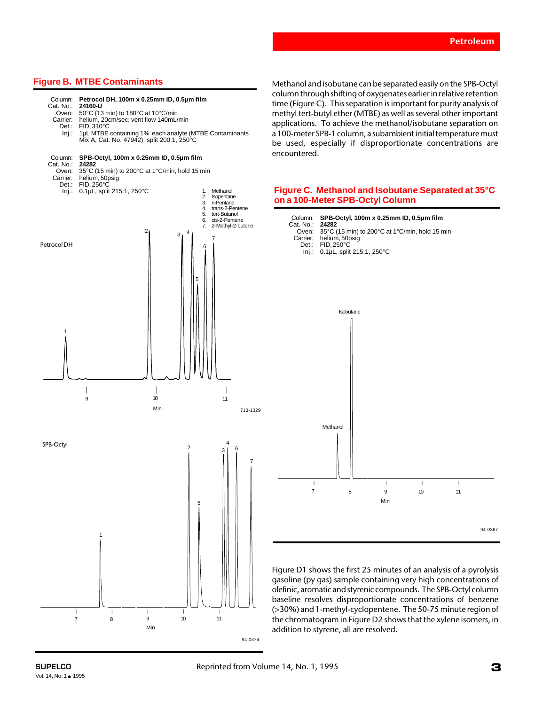# **Figure B. MTBE Contaminants**



Methanol and isobutane can be separated easily on the SPB-Octyl column through shifting of oxygenates earlier in relative retention time (Figure C). This separation is important for purity analysis of methyl tert-butyl ether (MTBE) as well as several other important applications. To achieve the methanol/isobutane separation on a 100-meter SPB-1 column, a subambient initial temperature must be used, especially if disproportionate concentrations are encountered.

### **Figure C. Methanol and Isobutane Separated at 35°C on a 100-Meter SPB-Octyl Column**



Figure D1 shows the first 25 minutes of an analysis of a pyrolysis gasoline (py gas) sample containing very high concentrations of olefinic, aromatic and styrenic compounds. The SPB-Octyl column baseline resolves disproportionate concentrations of benzene (>30%) and 1-methyl-cyclopentene. The 50-75 minute region of the chromatogram in Figure D2 shows that the xylene isomers, in addition to styrene, all are resolved.